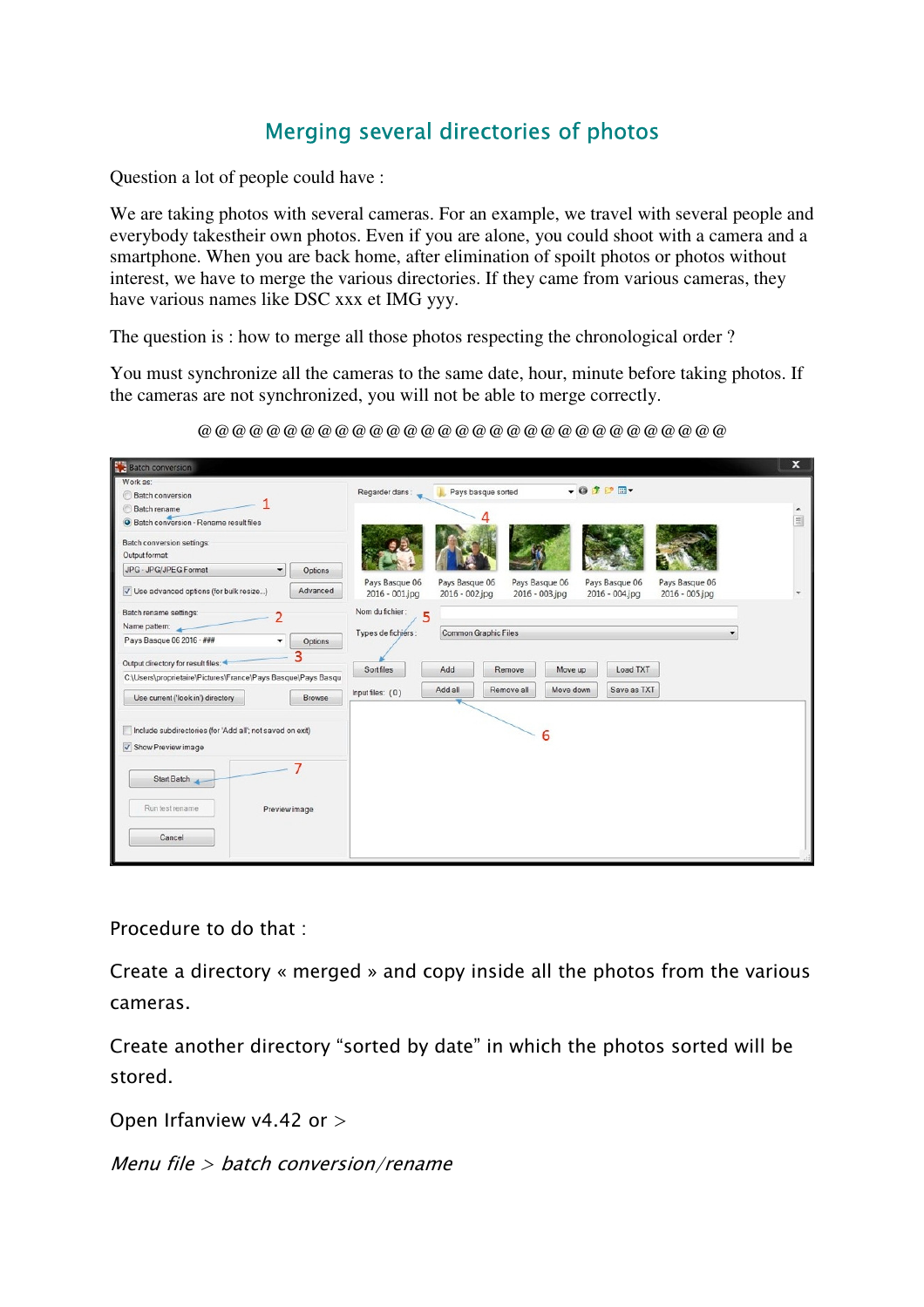## *Merging several directories of photos*

Question a lot of people could have :

We are taking photos with several cameras. For an example, we travel with several people and everybody takestheir own photos. Even if you are alone, you could shoot with a camera and a smartphone. When you are back home, after elimination of spoilt photos or photos without interest, we have to merge the various directories. If they came from various cameras, they have various names like DSC xxx et IMG yyy.

The question is : how to merge all those photos respecting the chronological order ?

You must synchronize all the cameras to the same date, hour, minute before taking photos. If the cameras are not synchronized, you will not be able to merge correctly.

| <b>Batch conversion</b>                                                           | $\mathbf{x}$                                                                              |
|-----------------------------------------------------------------------------------|-------------------------------------------------------------------------------------------|
| Work as:<br><b>Batch conversion</b>                                               | $-01PT$<br>Pays basque sorted<br>Regarder dans:                                           |
| Batch rename<br>Satch conversion - Rename result files                            | $\Xi$                                                                                     |
| Batch conversion settings:<br>Output format:                                      |                                                                                           |
| JPG - JPG/JPEG Format<br>Options<br>۰                                             | Pays Basque 06<br>Pays Basque 06<br>Pays Basque 06<br>Pays Basque 06<br>Pays Basque 06    |
| Advanced<br>Use advanced options (for bulk resize)                                | 2016 - 001.jpg<br>$2016 - 002$ .jpg<br>2016 - 003.jpg<br>2016 - 004.jpg<br>2016 - 005.jpg |
| Batch rename settings:                                                            | Nom du fichier:<br>5                                                                      |
| Name pattern:<br>Pays Basque 06 2016 - ###                                        | <b>Common Graphic Files</b><br>Types de fichiers :                                        |
| Options                                                                           |                                                                                           |
| Output directory for result files:                                                | Sortfiles<br>Add<br>Remove<br>Load TXT<br>Move up                                         |
| C:\Users\proprietaire\Pictures\France\Pays Basque\Pays Basqu                      | Add all<br>Remove all<br>Save as TXT<br>Move down                                         |
| Browse<br>Use current ('look in') directory                                       | Input files: (0)                                                                          |
| Include subdirectories (for 'Add all'; not saved on exit)<br>√ Show Preview image | 6                                                                                         |
| Start Batch                                                                       |                                                                                           |
| Run test rename<br>Preview image                                                  |                                                                                           |
| Cancel                                                                            |                                                                                           |

@@@@@@@@@@@@@@@@@@@@@@@@@@@@@@@

*Procedure to do that :*

*Create a directory « merged » and copy inside all the photos from the various cameras.*

*Create another directory "sorted by date" in which the photos sorted will be stored.*

*Open Irfanview v4.42 or >*

*Menu file > batch conversion/rename*